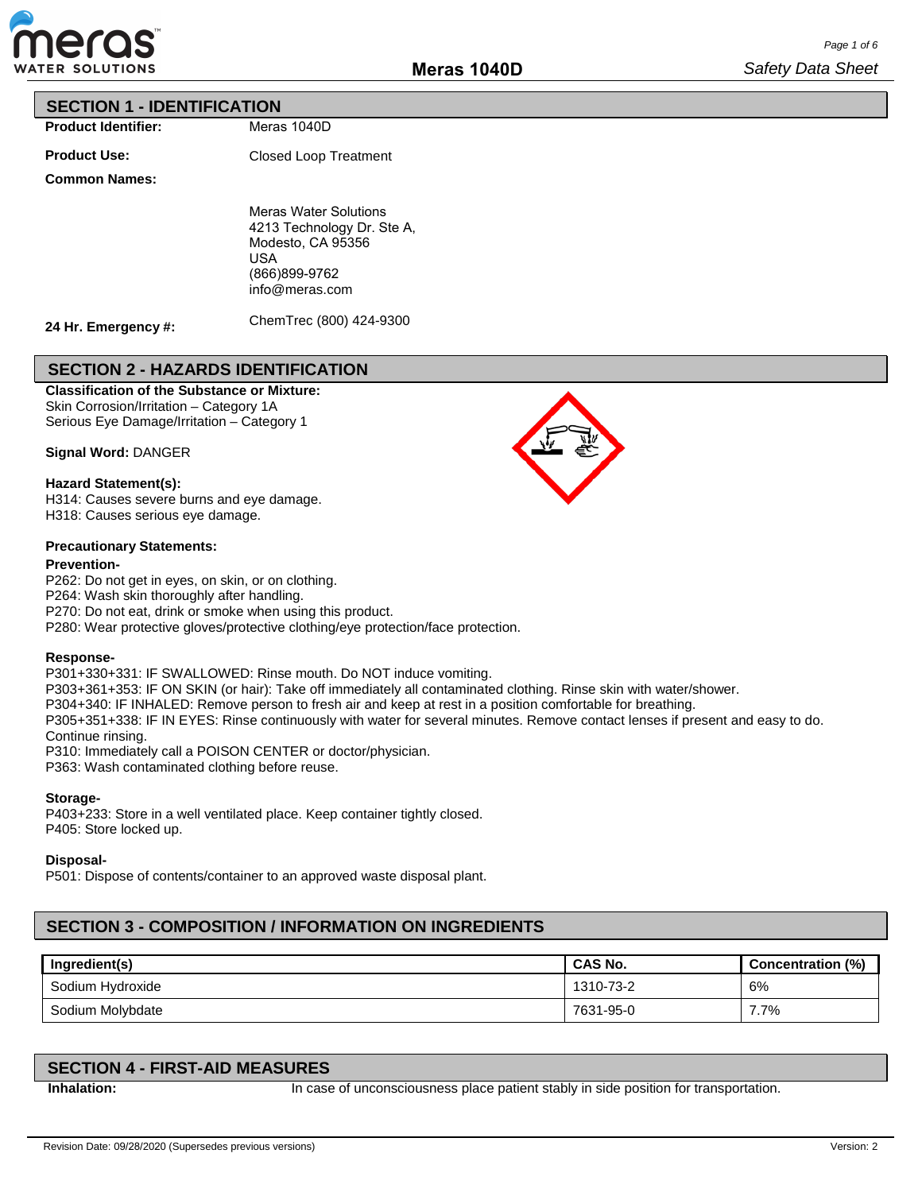

### **SECTION 1 - IDENTIFICATION**

**Product Identifier:**

**Product Use:**

Closed Loop Treatment

Meras 1040D

#### **Common Names:**

Meras Water Solutions 4213 Technology Dr. Ste A, Modesto, CA 95356 USA (866)899-9762

info@meras.com

**24 Hr. Emergency #:**

ChemTrec (800) 424-9300

## **SECTION 2 - HAZARDS IDENTIFICATION**

**Classification of the Substance or Mixture:**

Skin Corrosion/Irritation – Category 1A Serious Eye Damage/Irritation – Category 1

**Signal Word:** DANGER

#### **Hazard Statement(s):**

H314: Causes severe burns and eye damage. H318: Causes serious eye damage.

#### **Precautionary Statements:**

#### **Prevention-**

P262: Do not get in eyes, on skin, or on clothing. P264: Wash skin thoroughly after handling. P270: Do not eat, drink or smoke when using this product. P280: Wear protective gloves/protective clothing/eye protection/face protection.

#### **Response-**

P301+330+331: IF SWALLOWED: Rinse mouth. Do NOT induce vomiting.

P303+361+353: IF ON SKIN (or hair): Take off immediately all contaminated clothing. Rinse skin with water/shower.

P304+340: IF INHALED: Remove person to fresh air and keep at rest in a position comfortable for breathing.

P305+351+338: IF IN EYES: Rinse continuously with water for several minutes. Remove contact lenses if present and easy to do. Continue rinsing.

P310: Immediately call a POISON CENTER or doctor/physician.

P363: Wash contaminated clothing before reuse.

#### **Storage-**

P403+233: Store in a well ventilated place. Keep container tightly closed. P405: Store locked up.

**Disposal-**

P501: Dispose of contents/container to an approved waste disposal plant.

## **SECTION 3 - COMPOSITION / INFORMATION ON INGREDIENTS**

| Ingredient(s)    | CAS No.   | Concentration (%) |
|------------------|-----------|-------------------|
| Sodium Hydroxide | 1310-73-2 | 6%                |
| Sodium Molybdate | 7631-95-0 | 7.7%              |

## **SECTION 4 - FIRST-AID MEASURES**

**Inhalation:** In case of unconsciousness place patient stably in side position for transportation.

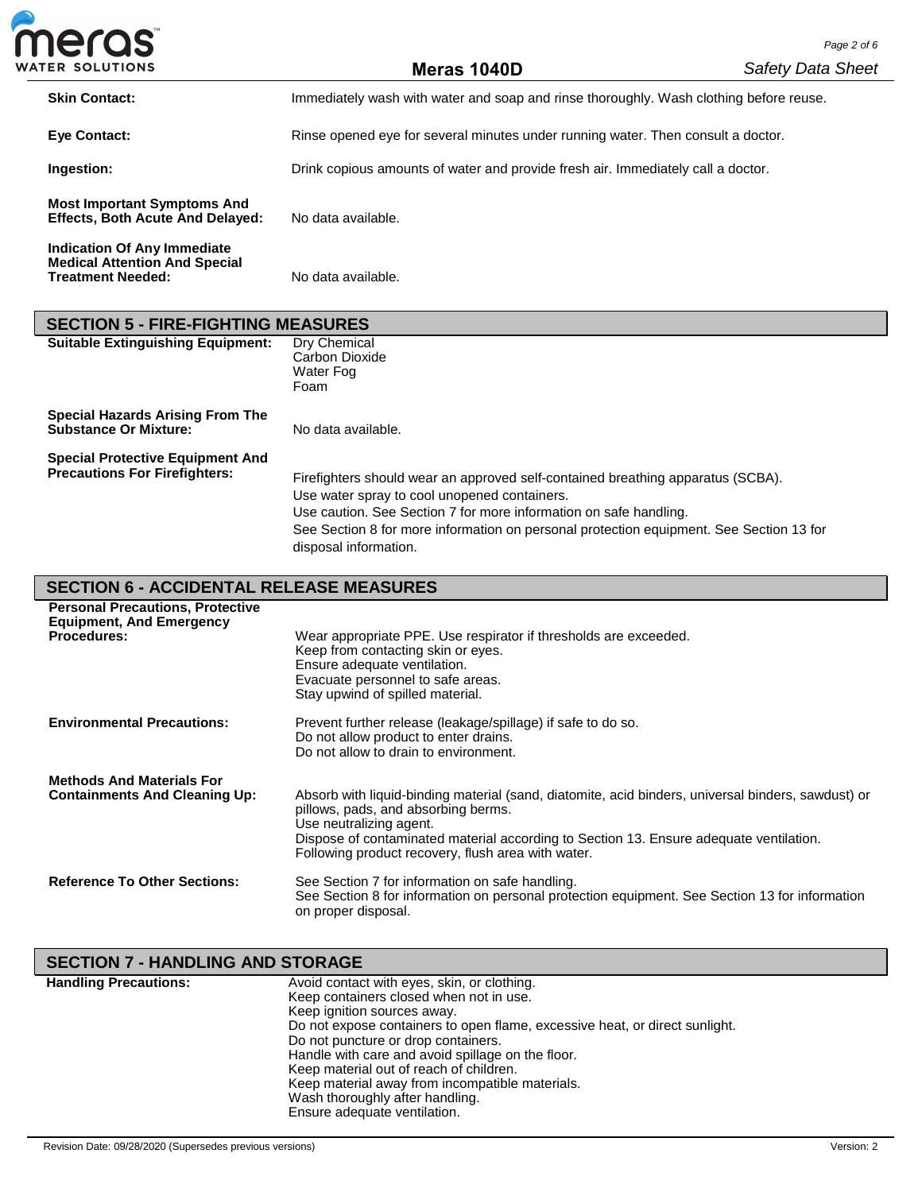| meras                                                                         |                                                                                        | Page 2 of 6              |
|-------------------------------------------------------------------------------|----------------------------------------------------------------------------------------|--------------------------|
| <b>WATER SOLUTIONS</b>                                                        | Meras 1040D                                                                            | <b>Safety Data Sheet</b> |
| <b>Skin Contact:</b>                                                          | Immediately wash with water and soap and rinse thoroughly. Wash clothing before reuse. |                          |
| <b>Eve Contact:</b>                                                           | Rinse opened eye for several minutes under running water. Then consult a doctor.       |                          |
| Ingestion:                                                                    | Drink copious amounts of water and provide fresh air. Immediately call a doctor.       |                          |
| <b>Most Important Symptoms And</b><br><b>Effects, Both Acute And Delayed:</b> | No data available.                                                                     |                          |
| Indication Of Any Immediate                                                   |                                                                                        |                          |

| <b>SECTION 5 - FIRE-FIGHTING MEASURES</b>                                       |                                                                                                                                                                                                                                                                                                                          |
|---------------------------------------------------------------------------------|--------------------------------------------------------------------------------------------------------------------------------------------------------------------------------------------------------------------------------------------------------------------------------------------------------------------------|
| <b>Suitable Extinguishing Equipment:</b>                                        | Dry Chemical<br>Carbon Dioxide<br>Water Fog<br>Foam                                                                                                                                                                                                                                                                      |
| <b>Special Hazards Arising From The</b><br><b>Substance Or Mixture:</b>         | No data available.                                                                                                                                                                                                                                                                                                       |
| <b>Special Protective Equipment And</b><br><b>Precautions For Firefighters:</b> | Firefighters should wear an approved self-contained breathing apparatus (SCBA).<br>Use water spray to cool unopened containers.<br>Use caution. See Section 7 for more information on safe handling.<br>See Section 8 for more information on personal protection equipment. See Section 13 for<br>disposal information. |

| <b>SECTION 6 - ACCIDENTAL RELEASE MEASURES</b> |
|------------------------------------------------|
|------------------------------------------------|

**Medical Attention And Special** 

Ï

**Treatment Needed:** No data available.

| <b>Personal Precautions, Protective</b>                                  |                                                                                                                                                                                                                                                                                                                      |
|--------------------------------------------------------------------------|----------------------------------------------------------------------------------------------------------------------------------------------------------------------------------------------------------------------------------------------------------------------------------------------------------------------|
| <b>Equipment, And Emergency</b>                                          |                                                                                                                                                                                                                                                                                                                      |
| <b>Procedures:</b>                                                       | Wear appropriate PPE. Use respirator if thresholds are exceeded.<br>Keep from contacting skin or eyes.<br>Ensure adequate ventilation.<br>Evacuate personnel to safe areas.<br>Stay upwind of spilled material.                                                                                                      |
| <b>Environmental Precautions:</b>                                        | Prevent further release (leakage/spillage) if safe to do so.<br>Do not allow product to enter drains.<br>Do not allow to drain to environment.                                                                                                                                                                       |
| <b>Methods And Materials For</b><br><b>Containments And Cleaning Up:</b> | Absorb with liquid-binding material (sand, diatomite, acid binders, universal binders, sawdust) or<br>pillows, pads, and absorbing berms.<br>Use neutralizing agent.<br>Dispose of contaminated material according to Section 13. Ensure adequate ventilation.<br>Following product recovery, flush area with water. |
| <b>Reference To Other Sections:</b>                                      | See Section 7 for information on safe handling.<br>See Section 8 for information on personal protection equipment. See Section 13 for information<br>on proper disposal.                                                                                                                                             |

# **SECTION 7 - HANDLING AND STORAGE**

| <b>Handling Precautions:</b> | Avoid contact with eyes, skin, or clothing.                                 |
|------------------------------|-----------------------------------------------------------------------------|
|                              | Keep containers closed when not in use.                                     |
|                              | Keep ignition sources away.                                                 |
|                              | Do not expose containers to open flame, excessive heat, or direct sunlight. |
|                              | Do not puncture or drop containers.                                         |
|                              | Handle with care and avoid spillage on the floor.                           |
|                              | Keep material out of reach of children.                                     |
|                              | Keep material away from incompatible materials.                             |
|                              | Wash thoroughly after handling.                                             |
|                              | Ensure adequate ventilation.                                                |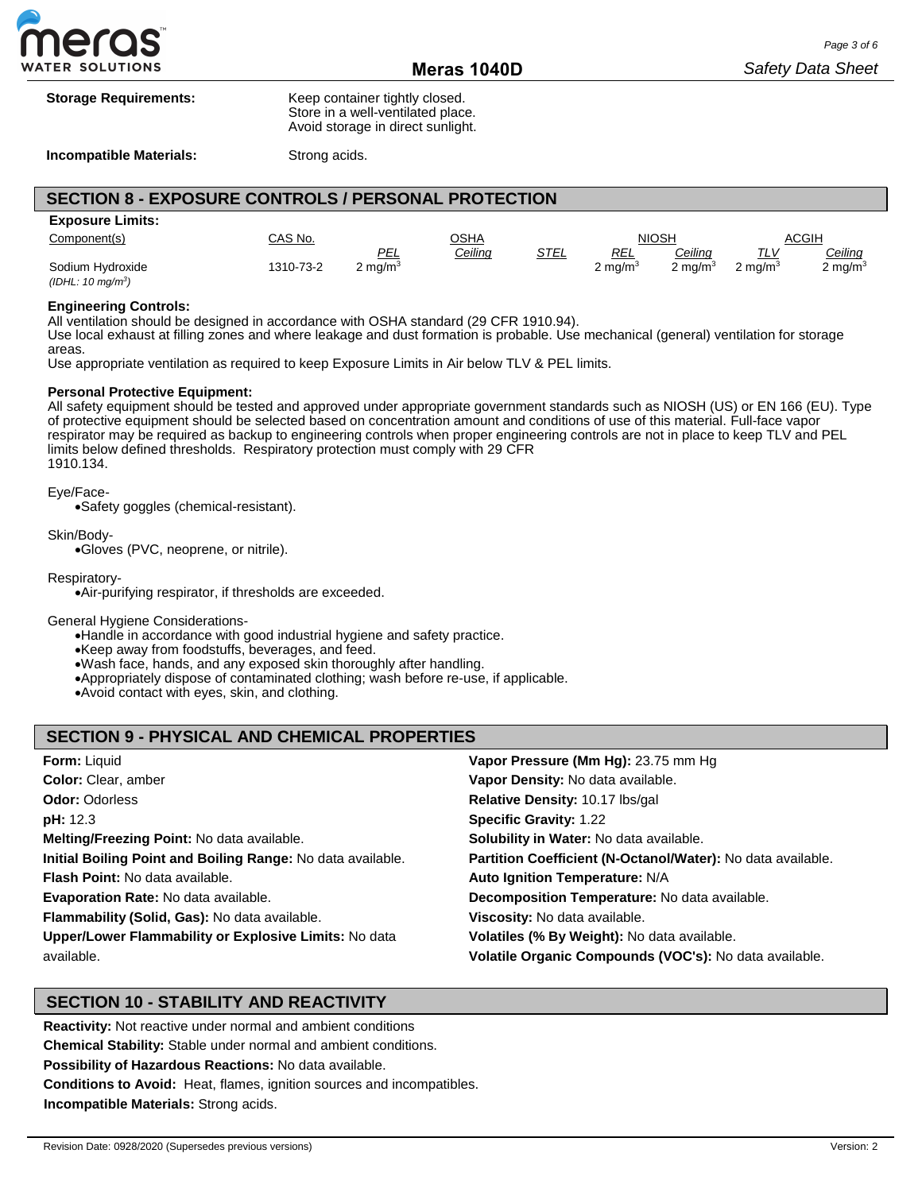

| <b>Storage Requirements:</b> | Keep container tightly closed.<br>Store in a well-ventilated place.<br>Avoid storage in direct sunlight. |  |  |
|------------------------------|----------------------------------------------------------------------------------------------------------|--|--|
| Incompatible Materials:      | Strong acids.                                                                                            |  |  |

## **SECTION 8 - EXPOSURE CONTROLS / PERSONAL PROTECTION**

| <b>Exposure Limits:</b>       |           |                    |                |      |               |            |                    |            |
|-------------------------------|-----------|--------------------|----------------|------|---------------|------------|--------------------|------------|
| Component(s)                  | CAS No.   |                    | <u>AHZC</u>    |      |               | NIOSH      |                    | ACGIH      |
|                               |           | PEL                | <u>Ceiling</u> | STEL | <u>REL</u>    | Ceilinq    | TLV                | Ceiling    |
| Sodium Hvdroxide              | 1310-73-2 | $2 \text{ mq/m}^3$ |                |      | 2 ma/m $^3\,$ | ? ma/m $3$ | $2 \text{ ma/m}^3$ | 2 mg/m $3$ |
| (IDHL: 10 mg/m <sup>3</sup> ) |           |                    |                |      |               |            |                    |            |

#### **Engineering Controls:**

All ventilation should be designed in accordance with OSHA standard (29 CFR 1910.94).

Use local exhaust at filling zones and where leakage and dust formation is probable. Use mechanical (general) ventilation for storage areas.

Use appropriate ventilation as required to keep Exposure Limits in Air below TLV & PEL limits.

#### **Personal Protective Equipment:**

All safety equipment should be tested and approved under appropriate government standards such as NIOSH (US) or EN 166 (EU). Type of protective equipment should be selected based on concentration amount and conditions of use of this material. Full-face vapor respirator may be required as backup to engineering controls when proper engineering controls are not in place to keep TLV and PEL limits below defined thresholds. Respiratory protection must comply with 29 CFR 1910.134.

#### Eye/Face-

•Safety goggles (chemical-resistant).

Skin/Body-

•Gloves (PVC, neoprene, or nitrile).

Respiratory-

•Air-purifying respirator, if thresholds are exceeded.

General Hygiene Considerations-

•Handle in accordance with good industrial hygiene and safety practice.

•Keep away from foodstuffs, beverages, and feed.

•Wash face, hands, and any exposed skin thoroughly after handling.

- •Appropriately dispose of contaminated clothing; wash before re-use, if applicable.
- •Avoid contact with eyes, skin, and clothing.

### **SECTION 9 - PHYSICAL AND CHEMICAL PROPERTIES**

| <b>Form: Liquid</b>                                         | Vapor Pressure (Mm Hg): 23.75 mm Hg                         |
|-------------------------------------------------------------|-------------------------------------------------------------|
| <b>Color:</b> Clear, amber                                  | Vapor Density: No data available.                           |
| <b>Odor: Odorless</b>                                       | Relative Density: 10.17 lbs/gal                             |
| <b>pH:</b> 12.3                                             | <b>Specific Gravity: 1.22</b>                               |
| Melting/Freezing Point: No data available.                  | Solubility in Water: No data available.                     |
| Initial Boiling Point and Boiling Range: No data available. | Partition Coefficient (N-Octanol/Water): No data available. |
| <b>Flash Point:</b> No data available.                      | Auto Ignition Temperature: N/A                              |
| <b>Evaporation Rate: No data available.</b>                 | Decomposition Temperature: No data available.               |
| Flammability (Solid, Gas): No data available.               | Viscosity: No data available.                               |
| Upper/Lower Flammability or Explosive Limits: No data       | Volatiles (% By Weight): No data available.                 |
| available.                                                  | Volatile Organic Compounds (VOC's): No data available.      |

### **SECTION 10 - STABILITY AND REACTIVITY**

**Reactivity:** Not reactive under normal and ambient conditions **Chemical Stability:** Stable under normal and ambient conditions. **Possibility of Hazardous Reactions:** No data available. **Conditions to Avoid:** Heat, flames, ignition sources and incompatibles. **Incompatible Materials:** Strong acids.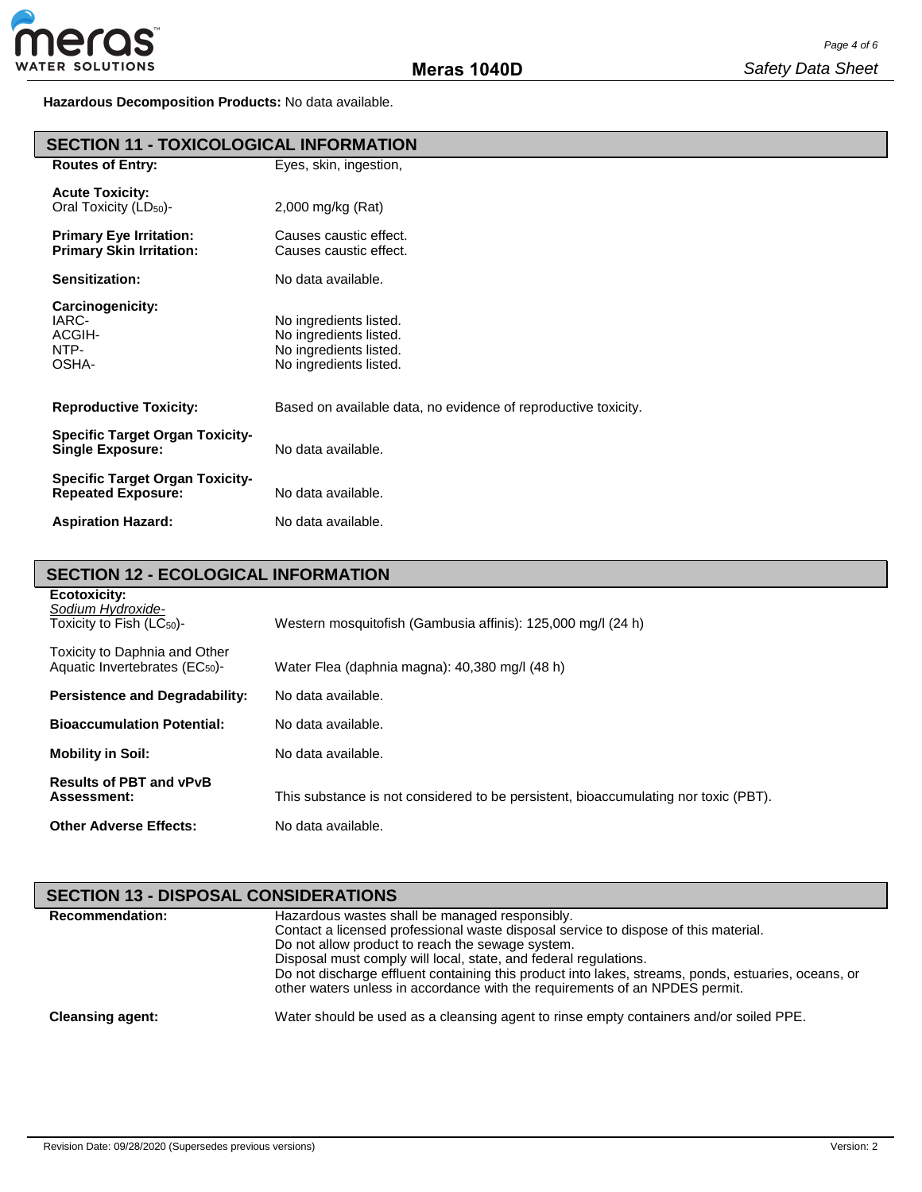**Hazardous Decomposition Products:** No data available.

| <b>SECTION 11 - TOXICOLOGICAL INFORMATION</b>                       |                                                                                                      |  |
|---------------------------------------------------------------------|------------------------------------------------------------------------------------------------------|--|
| <b>Routes of Entry:</b>                                             | Eyes, skin, ingestion,                                                                               |  |
| <b>Acute Toxicity:</b><br>Oral Toxicity (LD <sub>50</sub> )-        | 2,000 mg/kg (Rat)                                                                                    |  |
| <b>Primary Eye Irritation:</b><br><b>Primary Skin Irritation:</b>   | Causes caustic effect.<br>Causes caustic effect.                                                     |  |
| Sensitization:                                                      | No data available.                                                                                   |  |
| Carcinogenicity:<br>IARC-<br>ACGIH-<br>NTP-<br>OSHA-                | No ingredients listed.<br>No ingredients listed.<br>No ingredients listed.<br>No ingredients listed. |  |
| <b>Reproductive Toxicity:</b>                                       | Based on available data, no evidence of reproductive toxicity.                                       |  |
| <b>Specific Target Organ Toxicity-</b><br><b>Single Exposure:</b>   | No data available.                                                                                   |  |
| <b>Specific Target Organ Toxicity-</b><br><b>Repeated Exposure:</b> | No data available.                                                                                   |  |
| <b>Aspiration Hazard:</b>                                           | No data available.                                                                                   |  |

# **SECTION 12 - ECOLOGICAL INFORMATION**

| Ecotoxicity:<br>Sodium Hydroxide-<br>Toxicity to Fish $(LC_{50})$ -         | Western mosquitofish (Gambusia affinis): 125,000 mg/l (24 h)                        |
|-----------------------------------------------------------------------------|-------------------------------------------------------------------------------------|
| Toxicity to Daphnia and Other<br>Aquatic Invertebrates (EC <sub>50</sub> )- | Water Flea (daphnia magna): 40,380 mg/l (48 h)                                      |
| <b>Persistence and Degradability:</b>                                       | No data available.                                                                  |
| <b>Bioaccumulation Potential:</b>                                           | No data available.                                                                  |
| <b>Mobility in Soil:</b>                                                    | No data available.                                                                  |
| <b>Results of PBT and vPvB</b><br>Assessment:                               | This substance is not considered to be persistent, bioaccumulating nor toxic (PBT). |
| <b>Other Adverse Effects:</b>                                               | No data available.                                                                  |

| <b>SECTION 13 - DISPOSAL CONSIDERATIONS</b> |                                                                                                                                                                                                                                                                                                                                                                                                                                                     |
|---------------------------------------------|-----------------------------------------------------------------------------------------------------------------------------------------------------------------------------------------------------------------------------------------------------------------------------------------------------------------------------------------------------------------------------------------------------------------------------------------------------|
| <b>Recommendation:</b>                      | Hazardous wastes shall be managed responsibly.<br>Contact a licensed professional waste disposal service to dispose of this material.<br>Do not allow product to reach the sewage system.<br>Disposal must comply will local, state, and federal regulations.<br>Do not discharge effluent containing this product into lakes, streams, ponds, estuaries, oceans, or<br>other waters unless in accordance with the requirements of an NPDES permit. |
| <b>Cleansing agent:</b>                     | Water should be used as a cleansing agent to rinse empty containers and/or soiled PPE.                                                                                                                                                                                                                                                                                                                                                              |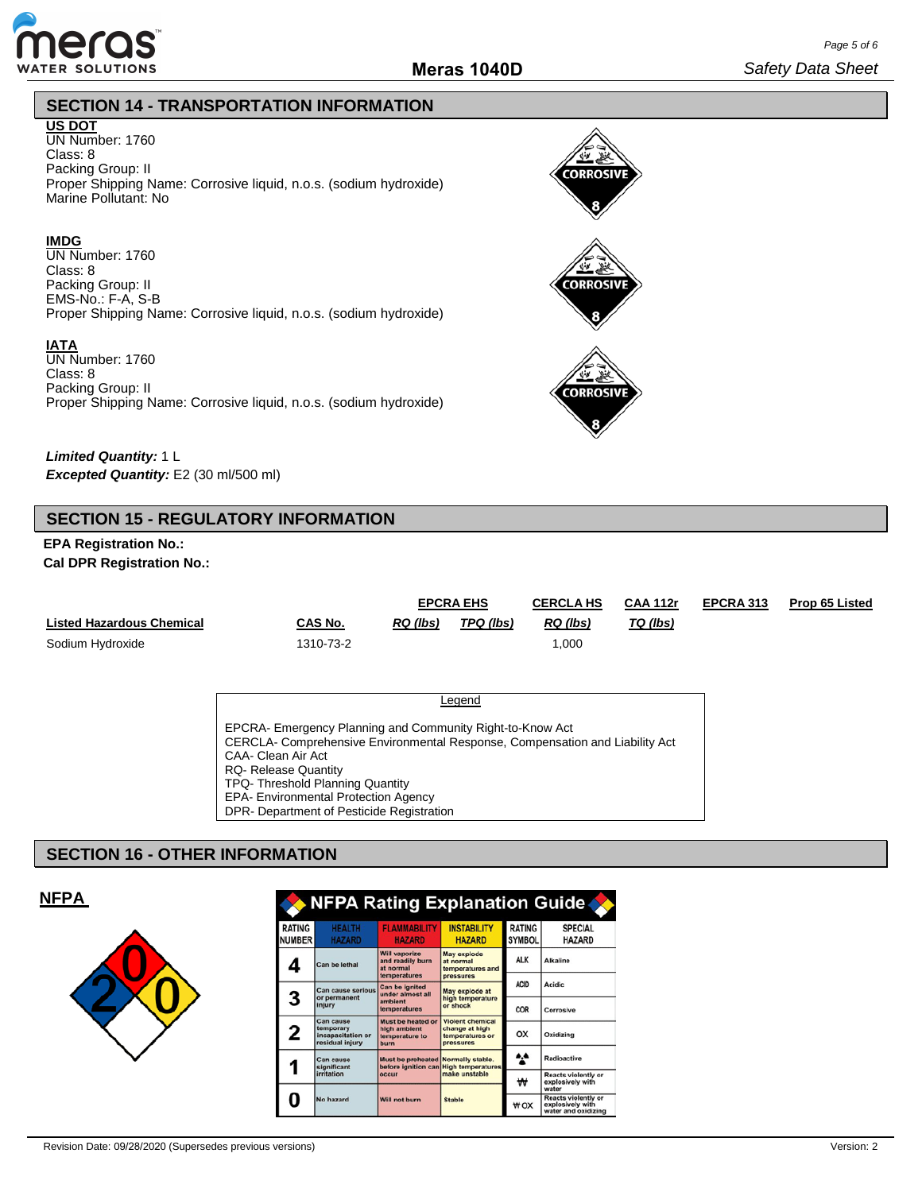

**CORROSIVE** 

**CORROSIVE** 

**CORROSIV** 

## **SECTION 14 - TRANSPORTATION INFORMATION**

## **US DOT**

UN Number: 1760 Class: 8 Packing Group: II Proper Shipping Name: Corrosive liquid, n.o.s. (sodium hydroxide) Marine Pollutant: No

### **IMDG**

UN Number: 1760 Class: 8 Packing Group: II EMS-No.: F-A, S-B Proper Shipping Name: Corrosive liquid, n.o.s. (sodium hydroxide)

### **IATA**

UN Number: 1760 Class: 8 Packing Group: II Proper Shipping Name: Corrosive liquid, n.o.s. (sodium hydroxide)

*Limited Quantity:* 1 L *Excepted Quantity:* E2 (30 ml/500 ml)

## **SECTION 15 - REGULATORY INFORMATION**

## **EPA Registration No.: Cal DPR Registration No.:**

|                                  |           | <b>EPCRA EHS</b> |           | <b>CERCLA HS</b> | <b>CAA 112r</b> | EPCRA 313 | <b>Prop 65 Listed</b> |
|----------------------------------|-----------|------------------|-----------|------------------|-----------------|-----------|-----------------------|
| <b>Listed Hazardous Chemical</b> | CAS No.   | RQ (lbs)         | TPQ (lbs) | RQ (lbs)         | TQ (lbs)        |           |                       |
| Sodium Hydroxide                 | 1310-73-2 |                  |           | 1.000            |                 |           |                       |

| Legend                                                                                                                                                                                                                                                                                                                         |  |
|--------------------------------------------------------------------------------------------------------------------------------------------------------------------------------------------------------------------------------------------------------------------------------------------------------------------------------|--|
| EPCRA- Emergency Planning and Community Right-to-Know Act<br>CERCLA- Comprehensive Environmental Response, Compensation and Liability Act<br>CAA- Clean Air Act<br><b>RQ- Release Quantity</b><br>TPQ- Threshold Planning Quantity<br><b>EPA- Environmental Protection Agency</b><br>DPR- Department of Pesticide Registration |  |

## **SECTION 16 - OTHER INFORMATION**